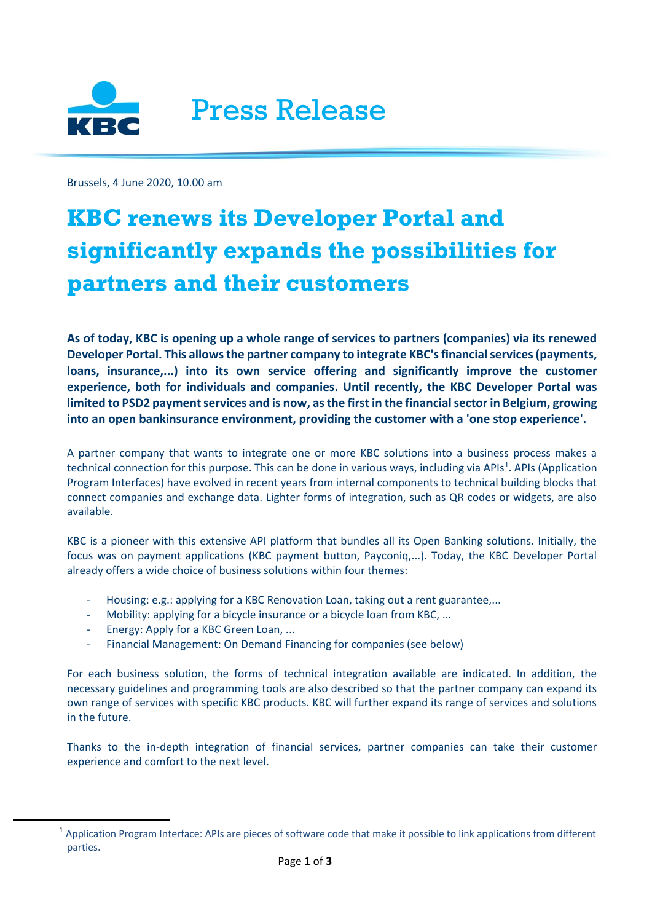

Brussels, 4 June 2020, 10.00 am

## **KBC renews its Developer Portal and significantly expands the possibilities for partners and their customers**

**As of today, KBC is opening up a whole range of services to partners (companies) via its renewed Developer Portal. This allows the partner company to integrate KBC's financial services (payments, loans, insurance,...) into its own service offering and significantly improve the customer experience, both for individuals and companies. Until recently, the KBC Developer Portal was limited to PSD2 payment services and is now, as the first in the financial sector in Belgium, growing into an open bankinsurance environment, providing the customer with a 'one stop experience'.**

A partner company that wants to integrate one or more KBC solutions into a business process makes a technical connection for this purpose. This can be done in various ways, including via APIs<sup>1</sup>. APIs (Application Program Interfaces) have evolved in recent years from internal components to technical building blocks that connect companies and exchange data. Lighter forms of integration, such as QR codes or widgets, are also available.

KBC is a pioneer with this extensive API platform that bundles all its Open Banking solutions. Initially, the focus was on payment applications (KBC payment button, Payconiq,...). Today, the KBC Developer Portal already offers a wide choice of business solutions within four themes:

- Housing: e.g.: applying for a KBC Renovation Loan, taking out a rent guarantee,...
- Mobility: applying for a bicycle insurance or a bicycle loan from KBC, ...
- Energy: Apply for a KBC Green Loan, ...
- Financial Management: On Demand Financing for companies (see below)

For each business solution, the forms of technical integration available are indicated. In addition, the necessary guidelines and programming tools are also described so that the partner company can expand its own range of services with specific KBC products. KBC will further expand its range of services and solutions in the future.

Thanks to the in-depth integration of financial services, partner companies can take their customer experience and comfort to the next level.

<sup>&</sup>lt;sup>1</sup> Application Program Interface: APIs are pieces of software code that make it possible to link applications from different parties.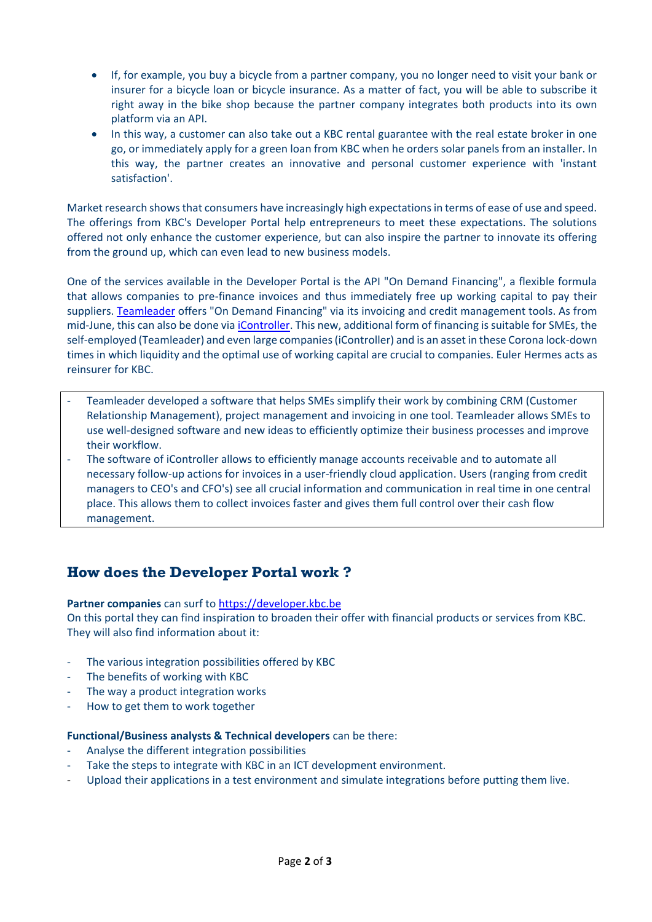- If, for example, you buy a bicycle from a partner company, you no longer need to visit your bank or insurer for a bicycle loan or bicycle insurance. As a matter of fact, you will be able to subscribe it right away in the bike shop because the partner company integrates both products into its own platform via an API.
- In this way, a customer can also take out a KBC rental guarantee with the real estate broker in one go, or immediately apply for a green loan from KBC when he orders solar panels from an installer. In this way, the partner creates an innovative and personal customer experience with 'instant satisfaction'.

Market research shows that consumers have increasingly high expectations in terms of ease of use and speed. The offerings from KBC's Developer Portal help entrepreneurs to meet these expectations. The solutions offered not only enhance the customer experience, but can also inspire the partner to innovate its offering from the ground up, which can even lead to new business models.

One of the services available in the Developer Portal is the API "On Demand Financing", a flexible formula that allows companies to pre-finance invoices and thus immediately free up working capital to pay their suppliers. [Teamleader](https://www.teamleader.eu/?__hstc=137216559.7b066b0f9d105d7995916ca213957931.1589555136347.1589555136347.1590678717783.2&__hssc=137216559.2.1590678699309&__hsfp=640115864#_ga=2.71465808.2131524738.1590678670-1379861362.1590678670) offers "On Demand Financing" via its invoicing and credit management tools. As from mid-June, this can also be done via [iController.](https://icontroller.org/en) This new, additional form of financing is suitable for SMEs, the self-employed (Teamleader) and even large companies (iController) and is an asset in these Corona lock-down times in which liquidity and the optimal use of working capital are crucial to companies. Euler Hermes acts as reinsurer for KBC.

- Teamleader developed a software that helps SMEs simplify their work by combining CRM (Customer Relationship Management), project management and invoicing in one tool. Teamleader allows SMEs to use well-designed software and new ideas to efficiently optimize their business processes and improve their workflow.
- The software of iController allows to efficiently manage accounts receivable and to automate all necessary follow-up actions for invoices in a user-friendly cloud application. Users (ranging from credit managers to CEO's and CFO's) see all crucial information and communication in real time in one central place. This allows them to collect invoices faster and gives them full control over their cash flow management.

## **How does the Developer Portal work ?**

## **Partner companies** can surf to [https://developer.kbc.be](https://developer.kbc.be/)

On this portal they can find inspiration to broaden their offer with financial products or services from KBC. They will also find information about it:

- The various integration possibilities offered by KBC
- The benefits of working with KBC
- The way a product integration works
- How to get them to work together

## **Functional/Business analysts & Technical developers** can be there:

- Analyse the different integration possibilities
- Take the steps to integrate with KBC in an ICT development environment.
- Upload their applications in a test environment and simulate integrations before putting them live.